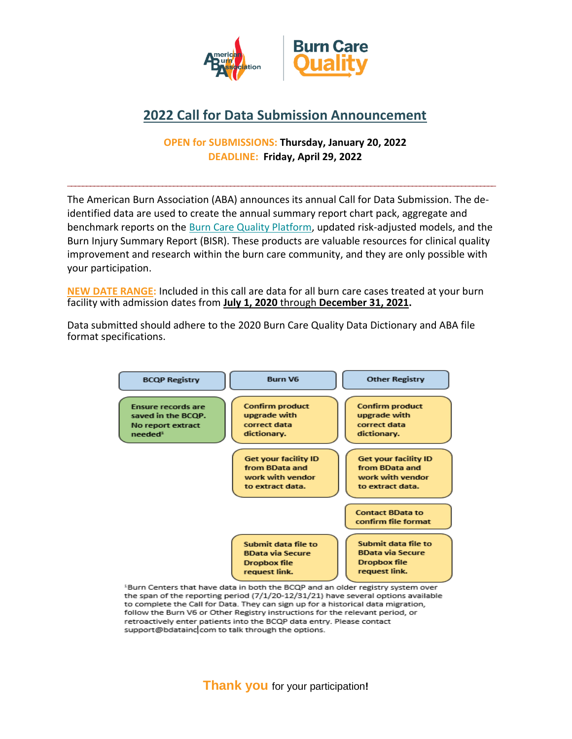

## **2022 Call for Data Submission Announcement**

## **OPEN for SUBMISSIONS: Thursday, January 20, 2022 DEADLINE: Friday, April 29, 2022**

The American Burn Association (ABA) announces its annual Call for Data Submission. The deidentified data are used to create the annual summary report chart pack, aggregate and benchmark reports on the [Burn Care Quality Platform,](http://ameriburn.org/quality-care/registry/) updated risk-adjusted models, and the Burn Injury Summary Report (BISR). These products are valuable resources for clinical quality improvement and research within the burn care community, and they are only possible with your participation.

**\_\_\_\_\_\_\_\_\_\_\_\_\_\_\_\_\_\_\_\_\_\_\_\_\_\_\_\_\_\_\_\_\_\_\_\_\_\_\_\_\_\_\_\_\_\_\_\_\_\_\_\_\_\_\_\_\_\_\_\_\_\_\_\_\_\_\_\_\_\_\_\_\_\_\_\_\_\_\_\_\_\_\_\_\_\_\_\_\_\_\_\_\_\_\_\_\_\_\_\_\_\_\_\_\_\_\_\_\_\_\_\_\_**

**NEW DATE RANGE:** Included in this call are data for all burn care cases treated at your burn facility with admission dates from **July 1, 2020** through **December 31, 2021.**

Data submitted should adhere to the 2020 Burn Care Quality Data Dictionary and ABA file format specifications.



<sup>1</sup>Burn Centers that have data in both the BCQP and an older registry system over the span of the reporting period (7/1/20-12/31/21) have several options available to complete the Call for Data. They can sign up for a historical data migration, follow the Burn V6 or Other Registry instructions for the relevant period, or retroactively enter patients into the BCQP data entry. Please contact support@bdataincccom to talk through the options.

**Thank you** for your participation**!**